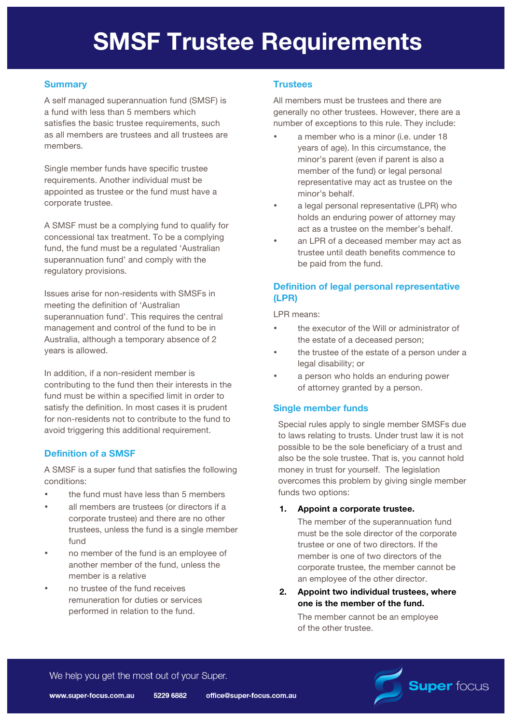# **SMSF Trustee Requirements**

# **Summary**

A self managed superannuation fund (SMSF) is a fund with less than 5 members which satisfies the basic trustee requirements, such as all members are trustees and all trustees are members.

Single member funds have specific trustee requirements. Another individual must be appointed as trustee or the fund must have a corporate trustee.

A SMSF must be a complying fund to qualify for concessional tax treatment. To be a complying fund, the fund must be a regulated 'Australian superannuation fund' and comply with the regulatory provisions.

Issues arise for non-residents with SMSFs in meeting the definition of 'Australian superannuation fund'. This requires the central management and control of the fund to be in Australia, although a temporary absence of 2 years is allowed.

In addition, if a non-resident member is contributing to the fund then their interests in the fund must be within a specified limit in order to satisfy the definition. In most cases it is prudent for non-residents not to contribute to the fund to avoid triggering this additional requirement.

## **Definition of a SMSF**

A SMSF is a super fund that satisfies the following conditions:

- the fund must have less than 5 members
- all members are trustees (or directors if a corporate trustee) and there are no other trustees, unless the fund is a single member fund
- no member of the fund is an employee of another member of the fund, unless the member is a relative
- no trustee of the fund receives remuneration for duties or services performed in relation to the fund.

## **Trustees**

All members must be trustees and there are generally no other trustees. However, there are a number of exceptions to this rule. They include:

- a member who is a minor (i.e. under 18 years of age). In this circumstance, the minor's parent (even if parent is also a member of the fund) or legal personal representative may act as trustee on the minor's behalf.
- a legal personal representative (LPR) who holds an enduring power of attorney may act as a trustee on the member's behalf.
- an LPR of a deceased member may act as trustee until death benefits commence to be paid from the fund.

## **Definition of legal personal representative (LPR)**

LPR means:

- the executor of the Will or administrator of the estate of a deceased person;
- the trustee of the estate of a person under a legal disability; or
- a person who holds an enduring power of attorney granted by a person.

## **Single member funds**

Special rules apply to single member SMSFs due to laws relating to trusts. Under trust law it is not possible to be the sole beneficiary of a trust and also be the sole trustee. That is, you cannot hold money in trust for yourself. The legislation overcomes this problem by giving single member funds two options:

## **1. Appoint a corporate trustee.**

The member of the superannuation fund must be the sole director of the corporate trustee or one of two directors. If the member is one of two directors of the corporate trustee, the member cannot be an employee of the other director.

**2. Appoint two individual trustees, where one is the member of the fund.**

The member cannot be an employee of the other trustee.